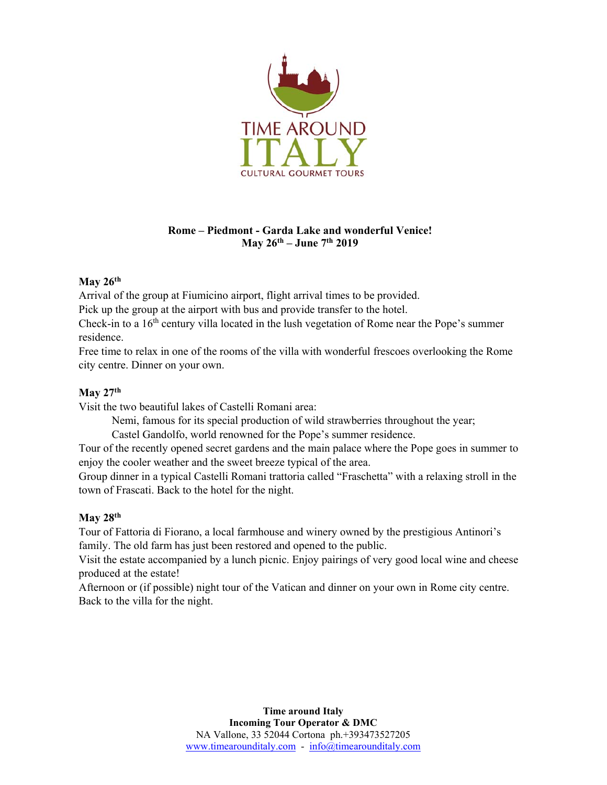

## **Rome – Piedmont - Garda Lake and wonderful Venice! May 26th – June 7th 2019**

## **May 26th**

Arrival of the group at Fiumicino airport, flight arrival times to be provided.

Pick up the group at the airport with bus and provide transfer to the hotel.

Check-in to a 16th century villa located in the lush vegetation of Rome near the Pope's summer residence.

Free time to relax in one of the rooms of the villa with wonderful frescoes overlooking the Rome city centre. Dinner on your own.

### **May 27th**

Visit the two beautiful lakes of Castelli Romani area:

Nemi, famous for its special production of wild strawberries throughout the year;

Castel Gandolfo, world renowned for the Pope's summer residence.

Tour of the recently opened secret gardens and the main palace where the Pope goes in summer to enjoy the cooler weather and the sweet breeze typical of the area.

Group dinner in a typical Castelli Romani trattoria called "Fraschetta" with a relaxing stroll in the town of Frascati. Back to the hotel for the night.

## **May 28th**

Tour of Fattoria di Fiorano, a local farmhouse and winery owned by the prestigious Antinori's family. The old farm has just been restored and opened to the public.

Visit the estate accompanied by a lunch picnic. Enjoy pairings of very good local wine and cheese produced at the estate!

Afternoon or (if possible) night tour of the Vatican and dinner on your own in Rome city centre. Back to the villa for the night.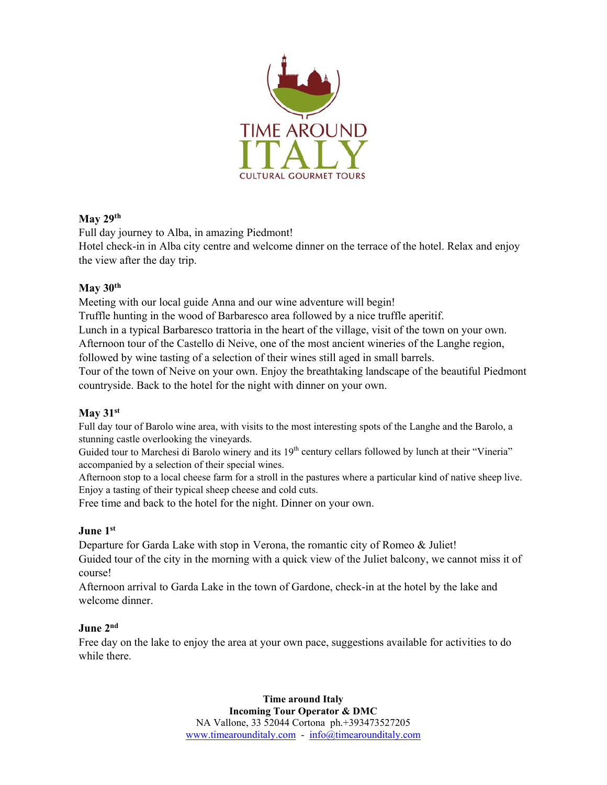

## **May 29th**

Full day journey to Alba, in amazing Piedmont!

Hotel check-in in Alba city centre and welcome dinner on the terrace of the hotel. Relax and enjoy the view after the day trip.

## **May 30th**

Meeting with our local guide Anna and our wine adventure will begin!

Truffle hunting in the wood of Barbaresco area followed by a nice truffle aperitif.

Lunch in a typical Barbaresco trattoria in the heart of the village, visit of the town on your own.

Afternoon tour of the Castello di Neive, one of the most ancient wineries of the Langhe region, followed by wine tasting of a selection of their wines still aged in small barrels.

Tour of the town of Neive on your own. Enjoy the breathtaking landscape of the beautiful Piedmont countryside. Back to the hotel for the night with dinner on your own.

## **May 31st**

Full day tour of Barolo wine area, with visits to the most interesting spots of the Langhe and the Barolo, a stunning castle overlooking the vineyards.

Guided tour to Marchesi di Barolo winery and its 19<sup>th</sup> century cellars followed by lunch at their "Vineria" accompanied by a selection of their special wines.

Afternoon stop to a local cheese farm for a stroll in the pastures where a particular kind of native sheep live. Enjoy a tasting of their typical sheep cheese and cold cuts.

Free time and back to the hotel for the night. Dinner on your own.

# **June 1st**

Departure for Garda Lake with stop in Verona, the romantic city of Romeo & Juliet! Guided tour of the city in the morning with a quick view of the Juliet balcony, we cannot miss it of course!

Afternoon arrival to Garda Lake in the town of Gardone, check-in at the hotel by the lake and welcome dinner.

## **June 2nd**

Free day on the lake to enjoy the area at your own pace, suggestions available for activities to do while there.

> **Time around Italy Incoming Tour Operator & DMC**  NA Vallone, 33 52044 Cortona ph.+393473527205 www.timearounditaly.com - info@timearounditaly.com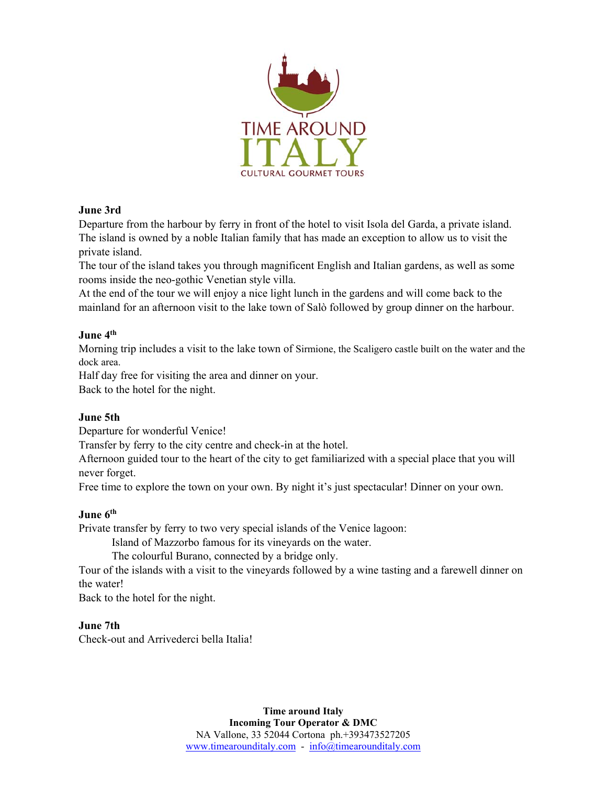

## **June 3rd**

Departure from the harbour by ferry in front of the hotel to visit Isola del Garda, a private island. The island is owned by a noble Italian family that has made an exception to allow us to visit the private island.

The tour of the island takes you through magnificent English and Italian gardens, as well as some rooms inside the neo-gothic Venetian style villa.

At the end of the tour we will enjoy a nice light lunch in the gardens and will come back to the mainland for an afternoon visit to the lake town of Salò followed by group dinner on the harbour.

#### **June 4th**

Morning trip includes a visit to the lake town of Sirmione, the Scaligero castle built on the water and the dock area.

Half day free for visiting the area and dinner on your.

Back to the hotel for the night.

## **June 5th**

Departure for wonderful Venice!

Transfer by ferry to the city centre and check-in at the hotel.

Afternoon guided tour to the heart of the city to get familiarized with a special place that you will never forget.

Free time to explore the town on your own. By night it's just spectacular! Dinner on your own.

#### **June 6th**

Private transfer by ferry to two very special islands of the Venice lagoon:

Island of Mazzorbo famous for its vineyards on the water.

The colourful Burano, connected by a bridge only.

Tour of the islands with a visit to the vineyards followed by a wine tasting and a farewell dinner on the water!

Back to the hotel for the night.

#### **June 7th**

Check-out and Arrivederci bella Italia!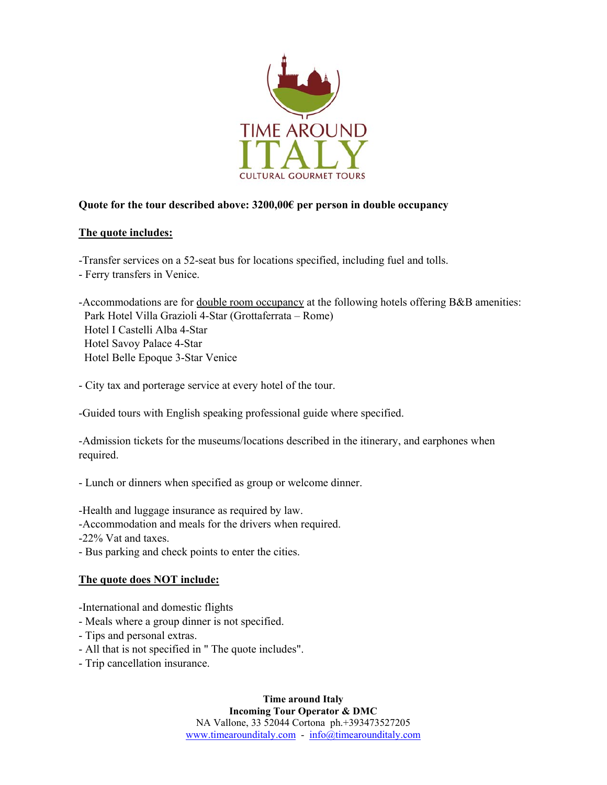

## **Quote for the tour described above: 3200,00€ per person in double occupancy**

#### **The quote includes:**

-Transfer services on a 52-seat bus for locations specified, including fuel and tolls.

- Ferry transfers in Venice.

-Accommodations are for double room occupancy at the following hotels offering B&B amenities: Park Hotel Villa Grazioli 4-Star (Grottaferrata – Rome) Hotel I Castelli Alba 4-Star Hotel Savoy Palace 4-Star Hotel Belle Epoque 3-Star Venice

- City tax and porterage service at every hotel of the tour.

-Guided tours with English speaking professional guide where specified.

-Admission tickets for the museums/locations described in the itinerary, and earphones when required.

- Lunch or dinners when specified as group or welcome dinner.

-Health and luggage insurance as required by law.

-Accommodation and meals for the drivers when required.

-22% Vat and taxes.

- Bus parking and check points to enter the cities.

## **The quote does NOT include:**

-International and domestic flights

- Meals where a group dinner is not specified.
- Tips and personal extras.
- All that is not specified in " The quote includes".
- Trip cancellation insurance.

**Time around Italy Incoming Tour Operator & DMC**  NA Vallone, 33 52044 Cortona ph.+393473527205 www.timearounditaly.com - info@timearounditaly.com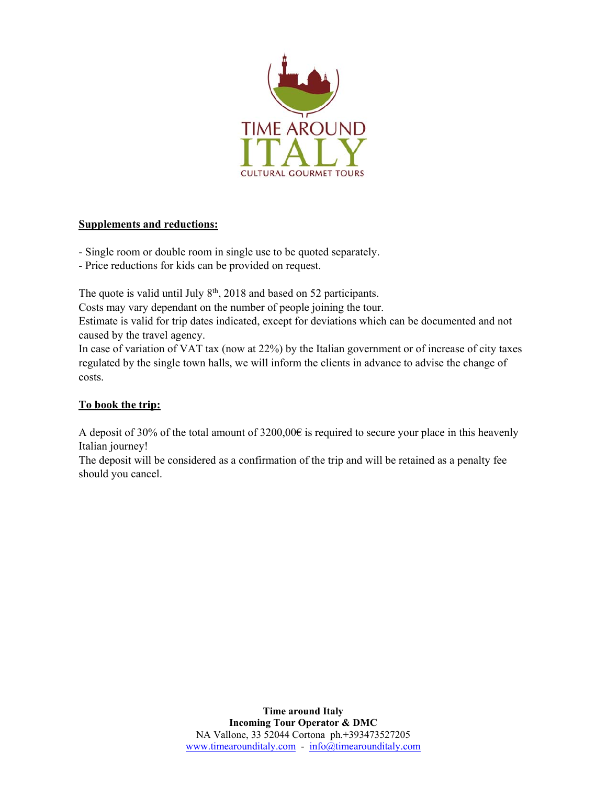

## **Supplements and reductions:**

- Single room or double room in single use to be quoted separately.

- Price reductions for kids can be provided on request.

The quote is valid until July  $8<sup>th</sup>$ , 2018 and based on 52 participants.

Costs may vary dependant on the number of people joining the tour.

Estimate is valid for trip dates indicated, except for deviations which can be documented and not caused by the travel agency.

In case of variation of VAT tax (now at 22%) by the Italian government or of increase of city taxes regulated by the single town halls, we will inform the clients in advance to advise the change of costs.

# **To book the trip:**

A deposit of 30% of the total amount of 3200,00€ is required to secure your place in this heavenly Italian journey!

The deposit will be considered as a confirmation of the trip and will be retained as a penalty fee should you cancel.